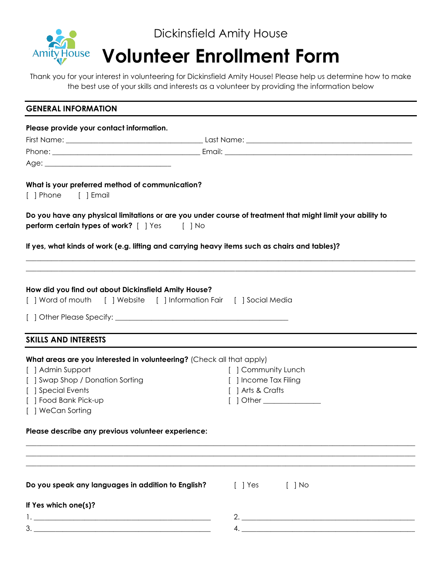

Thank you for your interest in volunteering for Dickinsfield Amity House! Please help us determine how to make the best use of your skills and interests as a volunteer by providing the information below

| <b>GENERAL INFORMATION</b>                                                                                                                                         |                           |
|--------------------------------------------------------------------------------------------------------------------------------------------------------------------|---------------------------|
| Please provide your contact information.                                                                                                                           |                           |
|                                                                                                                                                                    |                           |
|                                                                                                                                                                    |                           |
|                                                                                                                                                                    |                           |
| What is your preferred method of communication?<br>[ ] Phone [ ] Email                                                                                             |                           |
| Do you have any physical limitations or are you under course of treatment that might limit your ability to<br><b>perform certain types of work?</b> [ ] Yes [ ] No |                           |
| If yes, what kinds of work (e.g. lifting and carrying heavy items such as chairs and tables)?                                                                      |                           |
| How did you find out about Dickinsfield Amity House?                                                                                                               |                           |
|                                                                                                                                                                    |                           |
|                                                                                                                                                                    |                           |
| <b>SKILLS AND INTERESTS</b>                                                                                                                                        |                           |
| What areas are you interested in volunteering? (Check all that apply)                                                                                              |                           |
| [ ] Admin Support                                                                                                                                                  | [ ] Community Lunch       |
| [ ] Swap Shop / Donation Sorting                                                                                                                                   | [ ] Income Tax Filing     |
| [ ] Special Events                                                                                                                                                 | [ ] Arts & Crafts         |
| [ ] Food Bank Pick-up                                                                                                                                              | [ ] Other _______________ |
| [ ] WeCan Sorting                                                                                                                                                  |                           |
| Please describe any previous volunteer experience:                                                                                                                 |                           |
|                                                                                                                                                                    |                           |
|                                                                                                                                                                    |                           |
| Do you speak any languages in addition to English?                                                                                                                 | [ ] Yes<br>$[$ $]$ No     |
| If Yes which one(s)?                                                                                                                                               |                           |
|                                                                                                                                                                    | 2.                        |
|                                                                                                                                                                    | 4.                        |